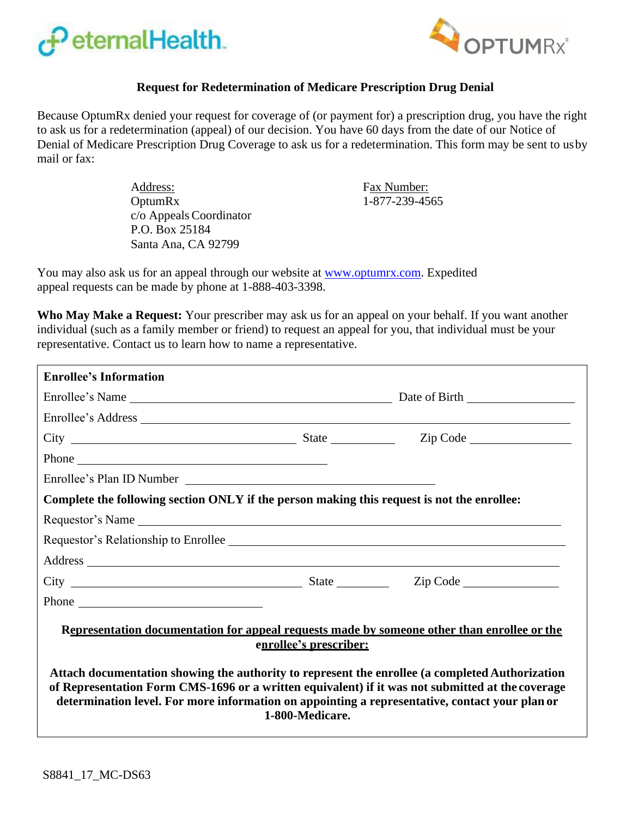



## **Request for Redetermination of Medicare Prescription Drug Denial**

Because OptumRx denied your request for coverage of (or payment for) a prescription drug, you have the right to ask us for a redetermination (appeal) of our decision. You have 60 days from the date of our Notice of Denial of Medicare Prescription Drug Coverage to ask us for a redetermination. This form may be sent to usby mail or fax:

> Address: Fax Number: OptumRx c/o Appeals Coordinator P.O. Box 25184 Santa Ana, CA 92799

1-877-239-4565

You may also ask us for an appeal through our website at [www.optumrx.com.](http://www.optumrx.com/) Expedited appeal requests can be made by phone at 1-888-403-3398.

**Who May Make a Request:** Your prescriber may ask us for an appeal on your behalf. If you want another individual (such as a family member or friend) to request an appeal for you, that individual must be your representative. Contact us to learn how to name a representative.

| <b>Enrollee's Information</b>                                                                                                                                                                       |                        |                                                                                             |
|-----------------------------------------------------------------------------------------------------------------------------------------------------------------------------------------------------|------------------------|---------------------------------------------------------------------------------------------|
|                                                                                                                                                                                                     |                        |                                                                                             |
|                                                                                                                                                                                                     |                        |                                                                                             |
|                                                                                                                                                                                                     |                        |                                                                                             |
|                                                                                                                                                                                                     |                        |                                                                                             |
| Enrollee's Plan ID Number                                                                                                                                                                           |                        |                                                                                             |
| Complete the following section ONLY if the person making this request is not the enrollee:                                                                                                          |                        |                                                                                             |
|                                                                                                                                                                                                     |                        |                                                                                             |
| Requestor's Relationship to Enrollee                                                                                                                                                                |                        |                                                                                             |
|                                                                                                                                                                                                     |                        |                                                                                             |
|                                                                                                                                                                                                     |                        |                                                                                             |
|                                                                                                                                                                                                     |                        |                                                                                             |
| Attach documentation showing the authority to represent the enrollee (a completed Authorization<br>of Representation Form CMS-1696 or a written equivalent) if it was not submitted at the coverage | enrollee's prescriber: | Representation documentation for appeal requests made by someone other than enrollee or the |
| determination level. For more information on appointing a representative, contact your plan or                                                                                                      | 1-800-Medicare.        |                                                                                             |